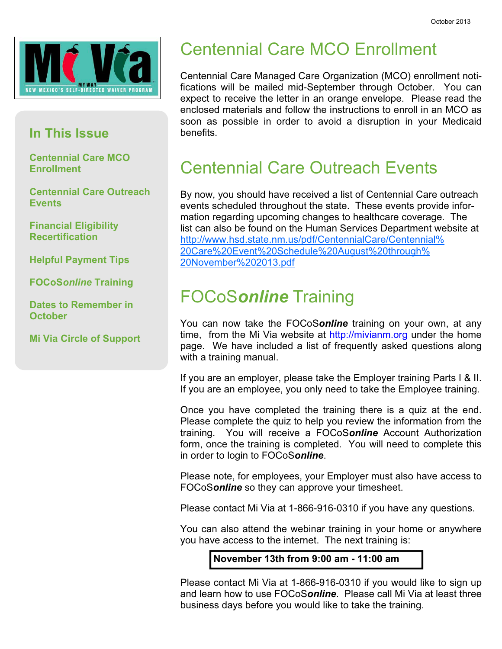

#### In This Issue

Centennial Care MCO **Enrollment** 

Centennial Care Outreach **Events** 

Financial Eligibility **Recertification** 

Helpful Payment Tips

FOCoSonline Training

Dates to Remember in **October** 

Mi Via Circle of Support

#### **Centennial Care MCO Enrollment** Centennial Care MCO Enrollment

Centennial Care Managed Care Organization (MCO) enrollment notifications will be mailed mid-September through October. You can expect to receive the letter in an orange envelope. Please read the enclosed materials and follow the instructions to enroll in an MCO as soon as possible in order to avoid a disruption in your Medicaid benefits.

#### **Centennial Care Outreach Events** Centennial Care Outreach Events

By now, you should have received a list of Centennial Care outreach events scheduled throughout the state. These events provide information regarding upcoming changes to healthcare coverage. The list can also be found on the Human Services Department website at http://www.hsd.state.nm.us/pdf/CentennialCare/Centennial% 20Care%20Event%20Schedule%20August%20through% 20November%202013.pdf

## FOCoSonline Training

You can now take the FOCoSonline training on your own, at any time, from the Mi Via website at http://mivianm.org under the home page. We have included a list of frequently asked questions along with a training manual.

If you are an employer, please take the Employer training Parts I & II. If you are an employee, you only need to take the Employee training.

Once you have completed the training there is a quiz at the end. Please complete the quiz to help you review the information from the training. You will receive a FOCoSonline Account Authorization form, once the training is completed. You will need to complete this in order to login to FOCoSonline.

Please note, for employees, your Employer must also have access to FOCoSonline so they can approve your timesheet.

Please contact Mi Via at 1-866-916-0310 if you have any questions.

You can also attend the webinar training in your home or anywhere you have access to the internet. The next training is:

November 13th from 9:00 am - 11:00 am

Please contact Mi Via at 1-866-916-0310 if you would like to sign up and learn how to use FOCoSonline. Please call Mi Via at least three business days before you would like to take the training.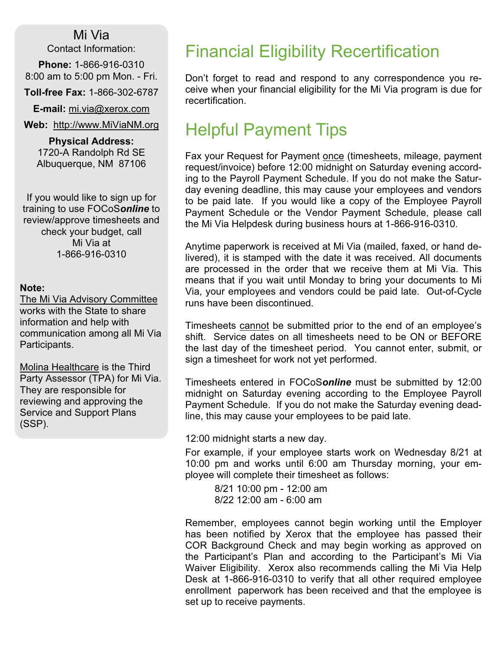Mi Via Contact Information:

Phone: 1-866-916-0310 8:00 am to 5:00 pm Mon. - Fri.

Toll-free Fax: 1-866-302-6787

E-mail: mi.via@xerox.com

Web: http://www.MiViaNM.org

Physical Address: 1720-A Randolph Rd SE Albuquerque, NM 87106

If you would like to sign up for training to use FOCoSonline to review/approve timesheets and check your budget, call Mi Via at 1-866-916-0310

#### Note:

The Mi Via Advisory Committee works with the State to share information and help with communication among all Mi Via Participants.

Molina Healthcare is the Third Party Assessor (TPA) for Mi Via. They are responsible for reviewing and approving the Service and Support Plans (SSP).

## Financial Eligibility Recertification

Don't forget to read and respond to any correspondence you receive when your financial eligibility for the Mi Via program is due for recertification.

# Helpful Payment Tips

Fax your Request for Payment once (timesheets, mileage, payment request/invoice) before 12:00 midnight on Saturday evening according to the Payroll Payment Schedule. If you do not make the Saturday evening deadline, this may cause your employees and vendors to be paid late. If you would like a copy of the Employee Payroll Payment Schedule or the Vendor Payment Schedule, please call the Mi Via Helpdesk during business hours at 1-866-916-0310.

Anytime paperwork is received at Mi Via (mailed, faxed, or hand delivered), it is stamped with the date it was received. All documents are processed in the order that we receive them at Mi Via. This means that if you wait until Monday to bring your documents to Mi Via, your employees and vendors could be paid late. Out-of-Cycle runs have been discontinued.

Timesheets cannot be submitted prior to the end of an employee's shift. Service dates on all timesheets need to be ON or BEFORE the last day of the timesheet period. You cannot enter, submit, or sign a timesheet for work not yet performed.

Timesheets entered in FOCoSonline must be submitted by 12:00 midnight on Saturday evening according to the Employee Payroll Payment Schedule. If you do not make the Saturday evening deadline, this may cause your employees to be paid late.

12:00 midnight starts a new day.

For example, if your employee starts work on Wednesday 8/21 at 10:00 pm and works until 6:00 am Thursday morning, your employee will complete their timesheet as follows:

 8/21 10:00 pm - 12:00 am 8/22 12:00 am - 6:00 am

Remember, employees cannot begin working until the Employer has been notified by Xerox that the employee has passed their COR Background Check and may begin working as approved on the Participant's Plan and according to the Participant's Mi Via Waiver Eligibility. Xerox also recommends calling the Mi Via Help Desk at 1-866-916-0310 to verify that all other required employee enrollment paperwork has been received and that the employee is set up to receive payments.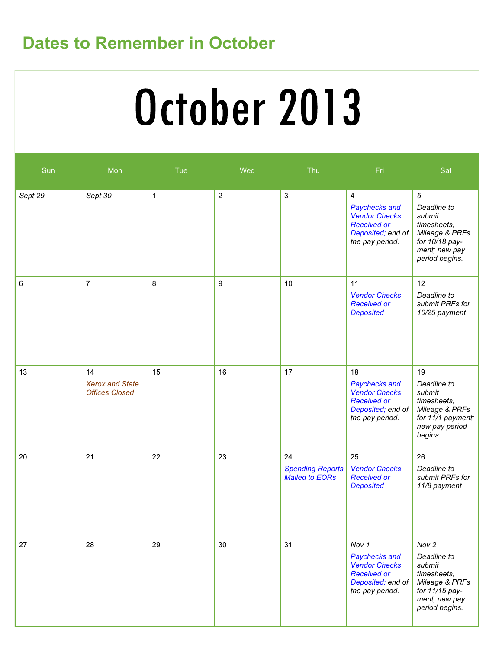# Dates to Remember in October

# October 2013

| Sun     | Mon                                                   | Tue          | Wed            | Thu                                                    | Fri                                                                                                                   | Sat                                                                                                                           |
|---------|-------------------------------------------------------|--------------|----------------|--------------------------------------------------------|-----------------------------------------------------------------------------------------------------------------------|-------------------------------------------------------------------------------------------------------------------------------|
| Sept 29 | Sept 30                                               | $\mathbf{1}$ | $\overline{2}$ | 3                                                      | $\overline{4}$<br>Paychecks and<br><b>Vendor Checks</b><br><b>Received or</b><br>Deposited; end of<br>the pay period. | $\overline{5}$<br>Deadline to<br>submit<br>timesheets,<br>Mileage & PRFs<br>for 10/18 pay-<br>ment; new pay<br>period begins. |
| 6       | $\overline{7}$                                        | 8            | 9              | 10                                                     | 11<br><b>Vendor Checks</b><br><b>Received or</b><br><b>Deposited</b>                                                  | 12<br>Deadline to<br>submit PRFs for<br>10/25 payment                                                                         |
| 13      | 14<br><b>Xerox and State</b><br><b>Offices Closed</b> | 15           | 16             | 17                                                     | 18<br>Paychecks and<br><b>Vendor Checks</b><br><b>Received or</b><br>Deposited; end of<br>the pay period.             | 19<br>Deadline to<br>submit<br>timesheets,<br>Mileage & PRFs<br>for 11/1 payment;<br>new pay period<br>begins.                |
| 20      | 21                                                    | 22           | 23             | 24<br><b>Spending Reports</b><br><b>Mailed to EORs</b> | 25<br><b>Vendor Checks</b><br><b>Received or</b><br><b>Deposited</b>                                                  | 26<br>Deadline to<br>submit PRFs for<br>11/8 payment                                                                          |
| 27      | 28                                                    | 29           | 30             | 31                                                     | Nov 1<br>Paychecks and<br><b>Vendor Checks</b><br><b>Received or</b><br>Deposited; end of<br>the pay period.          | Nov 2<br>Deadline to<br>submit<br>timesheets,<br>Mileage & PRFs<br>for 11/15 pay-<br>ment; new pay<br>period begins.          |